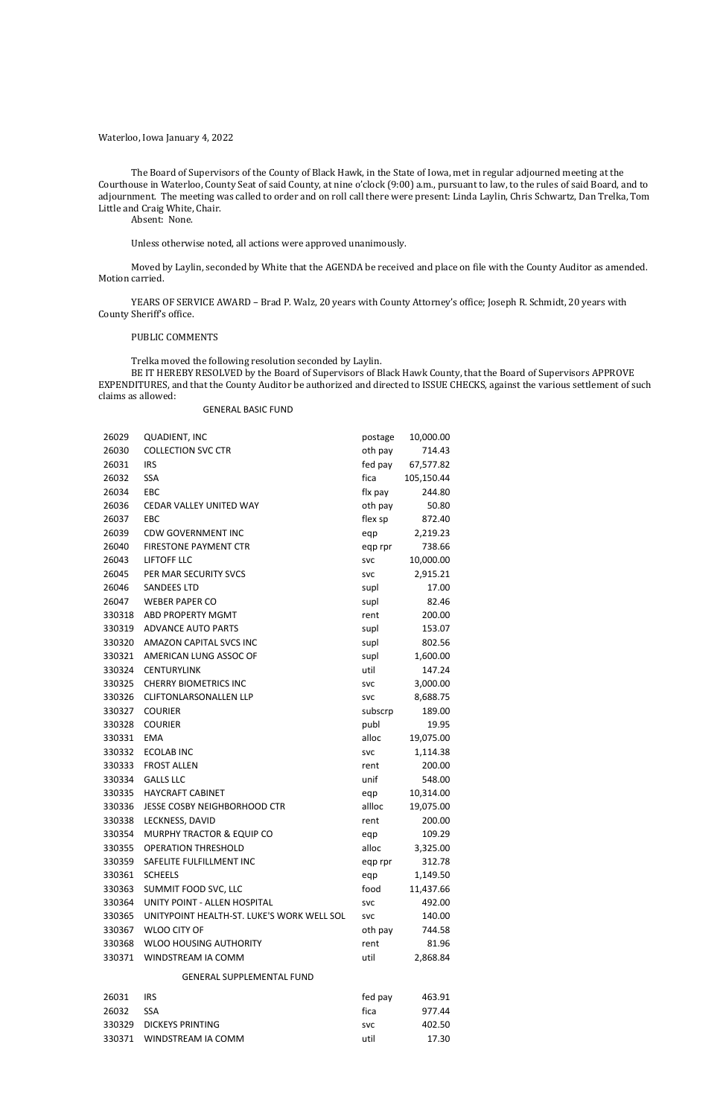Waterloo, Iowa January 4, 2022

The Board of Supervisors of the County of Black Hawk, in the State of Iowa, met in regular adjourned meeting at the Courthouse in Waterloo, County Seat of said County, at nine o'clock (9:00) a.m., pursuant to law, to the rules of said Board, and to adjournment. The meeting was called to order and on roll call there were present: Linda Laylin, Chris Schwartz, Dan Trelka, Tom Little and Craig White, Chair.

Absent: None.

Unless otherwise noted, all actions were approved unanimously.

Moved by Laylin, seconded by White that the AGENDA be received and place on file with the County Auditor as amended. Motion carried.

YEARS OF SERVICE AWARD – Brad P. Walz, 20 years with County Attorney's office; Joseph R. Schmidt, 20 years with County Sheriff's office.

### PUBLIC COMMENTS

Trelka moved the following resolution seconded by Laylin.

BE IT HEREBY RESOLVED by the Board of Supervisors of Black Hawk County, that the Board of Supervisors APPROVE EXPENDITURES, and that the County Auditor be authorized and directed to ISSUE CHECKS, against the various settlement of such claims as allowed:

# GENERAL BASIC FUND

| 26029  | <b>QUADIENT, INC</b>                       | postage    | 10,000.00  |
|--------|--------------------------------------------|------------|------------|
| 26030  | <b>COLLECTION SVC CTR</b>                  | oth pay    | 714.43     |
| 26031  | <b>IRS</b>                                 | fed pay    | 67,577.82  |
| 26032  | <b>SSA</b>                                 | fica       | 105,150.44 |
| 26034  | EBC                                        | flx pay    | 244.80     |
| 26036  | CEDAR VALLEY UNITED WAY                    | oth pay    | 50.80      |
| 26037  | EBC                                        | flex sp    | 872.40     |
| 26039  | <b>CDW GOVERNMENT INC</b>                  | eqp        | 2,219.23   |
| 26040  | <b>FIRESTONE PAYMENT CTR</b>               | eqp rpr    | 738.66     |
| 26043  | LIFTOFF LLC                                | <b>SVC</b> | 10,000.00  |
| 26045  | PER MAR SECURITY SVCS                      | <b>SVC</b> | 2,915.21   |
| 26046  | <b>SANDEES LTD</b>                         | supl       | 17.00      |
| 26047  | <b>WEBER PAPER CO</b>                      | supl       | 82.46      |
| 330318 | <b>ABD PROPERTY MGMT</b>                   | rent       | 200.00     |
| 330319 | <b>ADVANCE AUTO PARTS</b>                  | supl       | 153.07     |
| 330320 | AMAZON CAPITAL SVCS INC                    | supl       | 802.56     |
| 330321 | AMERICAN LUNG ASSOC OF                     | supl       | 1,600.00   |
| 330324 | <b>CENTURYLINK</b>                         | util       | 147.24     |
| 330325 | <b>CHERRY BIOMETRICS INC</b>               | <b>SVC</b> | 3,000.00   |
| 330326 | <b>CLIFTONLARSONALLEN LLP</b>              | <b>SVC</b> | 8,688.75   |
| 330327 | <b>COURIER</b>                             | subscrp    | 189.00     |
| 330328 | <b>COURIER</b>                             | publ       | 19.95      |
| 330331 | <b>EMA</b>                                 | alloc      | 19,075.00  |
| 330332 | <b>ECOLAB INC</b>                          | <b>SVC</b> | 1,114.38   |
| 330333 | <b>FROST ALLEN</b>                         | rent       | 200.00     |
| 330334 | <b>GALLS LLC</b>                           | unif       | 548.00     |
| 330335 | <b>HAYCRAFT CABINET</b>                    | eqp        | 10,314.00  |
| 330336 | JESSE COSBY NEIGHBORHOOD CTR               | allloc     | 19,075.00  |
| 330338 | LECKNESS, DAVID                            | rent       | 200.00     |
| 330354 | MURPHY TRACTOR & EQUIP CO                  | eqp        | 109.29     |
| 330355 | <b>OPERATION THRESHOLD</b>                 | alloc      | 3,325.00   |
| 330359 | SAFELITE FULFILLMENT INC                   | eqp rpr    | 312.78     |
| 330361 | <b>SCHEELS</b>                             | eqp        | 1,149.50   |
| 330363 | SUMMIT FOOD SVC, LLC                       | food       | 11,437.66  |
| 330364 | UNITY POINT - ALLEN HOSPITAL               | <b>SVC</b> | 492.00     |
| 330365 | UNITYPOINT HEALTH-ST. LUKE'S WORK WELL SOL | <b>SVC</b> | 140.00     |
| 330367 | <b>WLOO CITY OF</b>                        | oth pay    | 744.58     |
| 330368 | <b>WLOO HOUSING AUTHORITY</b>              | rent       | 81.96      |
| 330371 | WINDSTREAM IA COMM                         | util       | 2,868.84   |
|        | <b>GENERAL SUPPLEMENTAL FUND</b>           |            |            |
| 26031  | <b>IRS</b>                                 | fed pay    | 463.91     |
| 26032  | <b>SSA</b>                                 | fica       | 977.44     |
|        | 330329 DICKEYS PRINTING                    | svc        | 402.50     |

330371 WINDSTREAM IA COMM util util 17.30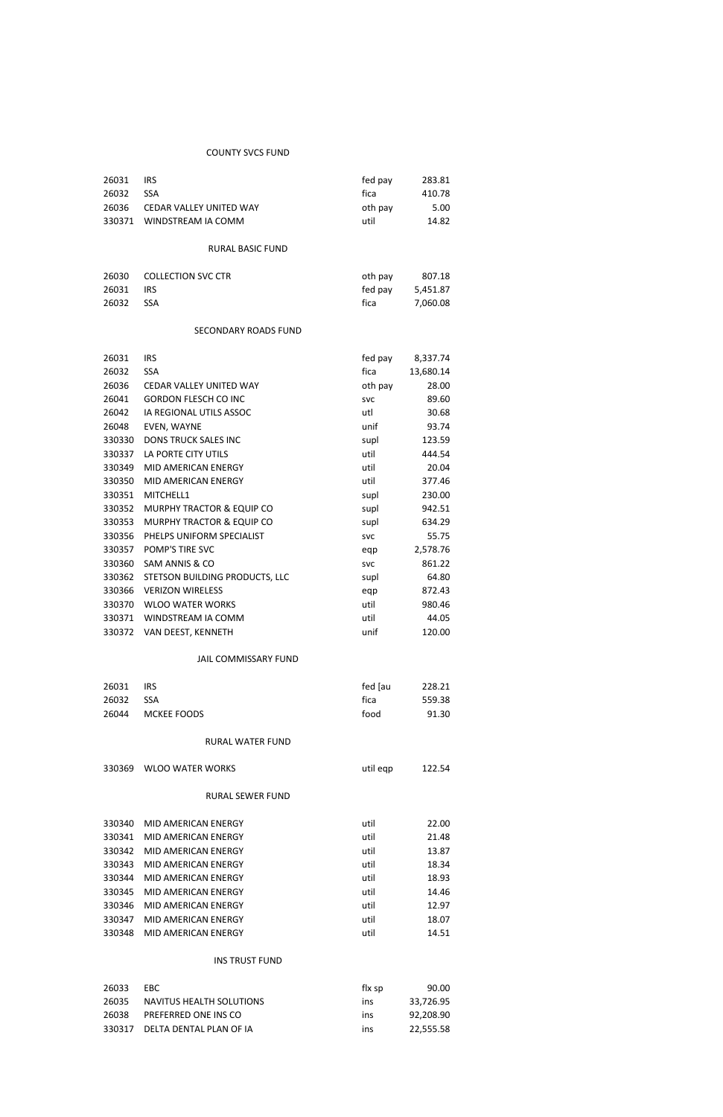# COUNTY SVCS FUND

| 26031  | IRS                       | fed pay | 283.81   |
|--------|---------------------------|---------|----------|
| 26032  | <b>SSA</b>                | fica    | 410.78   |
| 26036  | CEDAR VALLEY UNITED WAY   | oth pay | 5.00     |
| 330371 | WINDSTREAM IA COMM        | util    | 14.82    |
|        |                           |         |          |
|        | RURAL BASIC FUND          |         |          |
|        |                           |         |          |
| 26030  | <b>COLLECTION SVC CTR</b> | oth pay | 807.18   |
| 26031  |                           | fed pay | 5,451.87 |
|        | <b>IRS</b>                |         |          |

# SECONDARY ROADS FUND

| 26031  | <b>IRS</b>                           | fed pay    | 8,337.74  |
|--------|--------------------------------------|------------|-----------|
| 26032  | <b>SSA</b>                           | fica       | 13,680.14 |
| 26036  | CEDAR VALLEY UNITED WAY              | oth pay    | 28.00     |
| 26041  | <b>GORDON FLESCH CO INC</b>          | <b>SVC</b> | 89.60     |
| 26042  | IA REGIONAL UTILS ASSOC              | utl        | 30.68     |
| 26048  | EVEN, WAYNE                          | unif       | 93.74     |
| 330330 | <b>DONS TRUCK SALES INC</b>          | supl       | 123.59    |
| 330337 | LA PORTE CITY UTILS                  | util       | 444.54    |
| 330349 | MID AMERICAN ENERGY                  | util       | 20.04     |
| 330350 | MID AMERICAN ENERGY                  | util       | 377.46    |
| 330351 | MITCHELL1                            | supl       | 230.00    |
| 330352 | <b>MURPHY TRACTOR &amp; EQUIP CO</b> | supl       | 942.51    |
| 330353 | MURPHY TRACTOR & EQUIP CO            | supl       | 634.29    |
| 330356 | PHELPS UNIFORM SPECIALIST            | <b>SVC</b> | 55.75     |
| 330357 | POMP'S TIRE SVC                      | eqp        | 2,578.76  |
| 330360 | SAM ANNIS & CO                       | <b>SVC</b> | 861.22    |
| 330362 | STETSON BUILDING PRODUCTS, LLC       | supl       | 64.80     |
| 330366 | <b>VERIZON WIRELESS</b>              | eqp        | 872.43    |
| 330370 | <b>WLOO WATER WORKS</b>              | util       | 980.46    |
| 330371 | WINDSTREAM IA COMM                   | util       | 44.05     |
| 330372 | VAN DEEST, KENNETH                   | unif       | 120.00    |

# JAIL COMMISSARY FUND

| 26031 | IRS.              | fed lau | 228.21 |
|-------|-------------------|---------|--------|
| 26032 | <b>SSA</b>        | fica    | 559.38 |
|       | 26044 MCKEE FOODS | food    | 91.30  |

# RURAL WATER FUND

|  | 330369 WLOO WATER WORKS | util eqp | 122.54 |
|--|-------------------------|----------|--------|
|--|-------------------------|----------|--------|

### RURAL SEWER FUND

| MID AMERICAN ENERGY | util | 22.00 |
|---------------------|------|-------|
| MID AMERICAN ENERGY | util | 21.48 |
| MID AMERICAN ENERGY | util | 13.87 |
| MID AMERICAN ENERGY | util | 18.34 |
| MID AMERICAN ENERGY | util | 18.93 |
| MID AMERICAN ENERGY | util | 14.46 |
| MID AMERICAN ENERGY | util | 12.97 |
| MID AMERICAN ENERGY | util | 18.07 |
| MID AMERICAN ENERGY | util | 14.51 |
|                     |      |       |

# INS TRUST FUND

| 26033 | EBC.                           | flx sp     | 90.00     |
|-------|--------------------------------|------------|-----------|
| 26035 | NAVITUS HEALTH SOLUTIONS       | <b>INS</b> | 33.726.95 |
| 26038 | PREFERRED ONE INS CO           | ins        | 92.208.90 |
|       | 330317 DELTA DENTAL PLAN OF IA | ins        | 22.555.58 |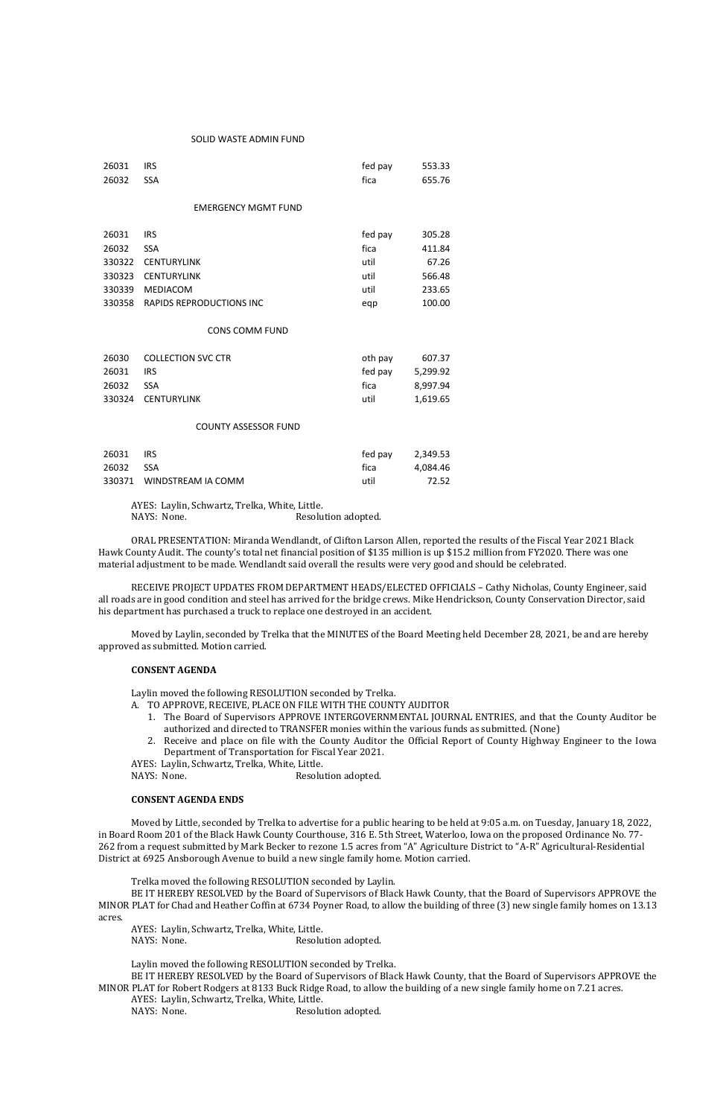#### SOLID WASTE ADMIN FUND

AYES: Laylin, Schwartz, Trelka, White, Little. NAYS: None. Resolution adopted.

| 26031  | <b>IRS</b>                      | fed pay | 553.33   |  |
|--------|---------------------------------|---------|----------|--|
| 26032  | <b>SSA</b>                      | fica    | 655.76   |  |
|        |                                 |         |          |  |
|        | <b>EMERGENCY MGMT FUND</b>      |         |          |  |
|        |                                 |         |          |  |
| 26031  | <b>IRS</b>                      | fed pay | 305.28   |  |
| 26032  | <b>SSA</b>                      | fica    | 411.84   |  |
| 330322 | <b>CENTURYLINK</b>              | util    | 67.26    |  |
| 330323 | <b>CENTURYLINK</b>              | util    | 566.48   |  |
| 330339 | <b>MEDIACOM</b>                 | util    | 233.65   |  |
| 330358 | <b>RAPIDS REPRODUCTIONS INC</b> | eqp     | 100.00   |  |
|        |                                 |         |          |  |
|        | <b>CONS COMM FUND</b>           |         |          |  |
| 26030  | <b>COLLECTION SVC CTR</b>       | oth pay | 607.37   |  |
| 26031  | <b>IRS</b>                      | fed pay | 5,299.92 |  |
| 26032  | <b>SSA</b>                      | fica    | 8,997.94 |  |
| 330324 | <b>CENTURYLINK</b>              | util    | 1,619.65 |  |
|        | <b>COUNTY ASSESSOR FUND</b>     |         |          |  |
|        |                                 |         |          |  |
| 26031  | <b>IRS</b>                      | fed pay | 2,349.53 |  |
| 26032  | <b>SSA</b>                      | fica    | 4,084.46 |  |
| 330371 | WINDSTREAM IA COMM              | util    | 72.52    |  |
|        |                                 |         |          |  |

ORAL PRESENTATION: Miranda Wendlandt, of Clifton Larson Allen, reported the results of the Fiscal Year 2021 Black Hawk County Audit. The county's total net financial position of \$135 million is up \$15.2 million from FY2020. There was one material adjustment to be made. Wendlandt said overall the results were very good and should be celebrated.

RECEIVE PROJECT UPDATES FROM DEPARTMENT HEADS/ELECTED OFFICIALS – Cathy Nicholas, County Engineer, said all roads are in good condition and steel has arrived for the bridge crews. Mike Hendrickson, County Conservation Director, said his department has purchased a truck to replace one destroyed in an accident.

Moved by Laylin, seconded by Trelka that the MINUTES of the Board Meeting held December 28, 2021, be and are hereby approved as submitted. Motion carried.

### **CONSENT AGENDA**

Laylin moved the following RESOLUTION seconded by Trelka.

A. TO APPROVE, RECEIVE, PLACE ON FILE WITH THE COUNTY AUDITOR

- 1. The Board of Supervisors APPROVE INTERGOVERNMENTAL JOURNAL ENTRIES, and that the County Auditor be authorized and directed to TRANSFER monies within the various funds as submitted. (None)
- 2. Receive and place on file with the County Auditor the Official Report of County Highway Engineer to the Iowa Department of Transportation for Fiscal Year 2021.

AYES: Laylin, Schwartz, Trelka, White, Little.

NAYS: None. Resolution adopted.

### **CONSENT AGENDA ENDS**

Moved by Little, seconded by Trelka to advertise for a public hearing to be held at 9:05 a.m. on Tuesday, January 18, 2022, in Board Room 201 of the Black Hawk County Courthouse, 316 E. 5th Street, Waterloo, Iowa on the proposed Ordinance No. 77- 262 from a request submitted by Mark Becker to rezone 1.5 acres from "A" Agriculture District to "A-R" Agricultural-Residential District at 6925 Ansborough Avenue to build a new single family home. Motion carried.

Trelka moved the following RESOLUTION seconded by Laylin.

BE IT HEREBY RESOLVED by the Board of Supervisors of Black Hawk County, that the Board of Supervisors APPROVE the MINOR PLAT for Chad and Heather Coffin at 6734 Poyner Road, to allow the building of three (3) new single family homes on 13.13 acres.

AYES: Laylin, Schwartz, Trelka, White, Little.

NAYS: None. Resolution adopted.

Laylin moved the following RESOLUTION seconded by Trelka.

BE IT HEREBY RESOLVED by the Board of Supervisors of Black Hawk County, that the Board of Supervisors APPROVE the MINOR PLAT for Robert Rodgers at 8133 Buck Ridge Road, to allow the building of a new single family home on 7.21 acres. AYES: Laylin, Schwartz, Trelka, White, Little.

NAYS: None. Resolution adopted.